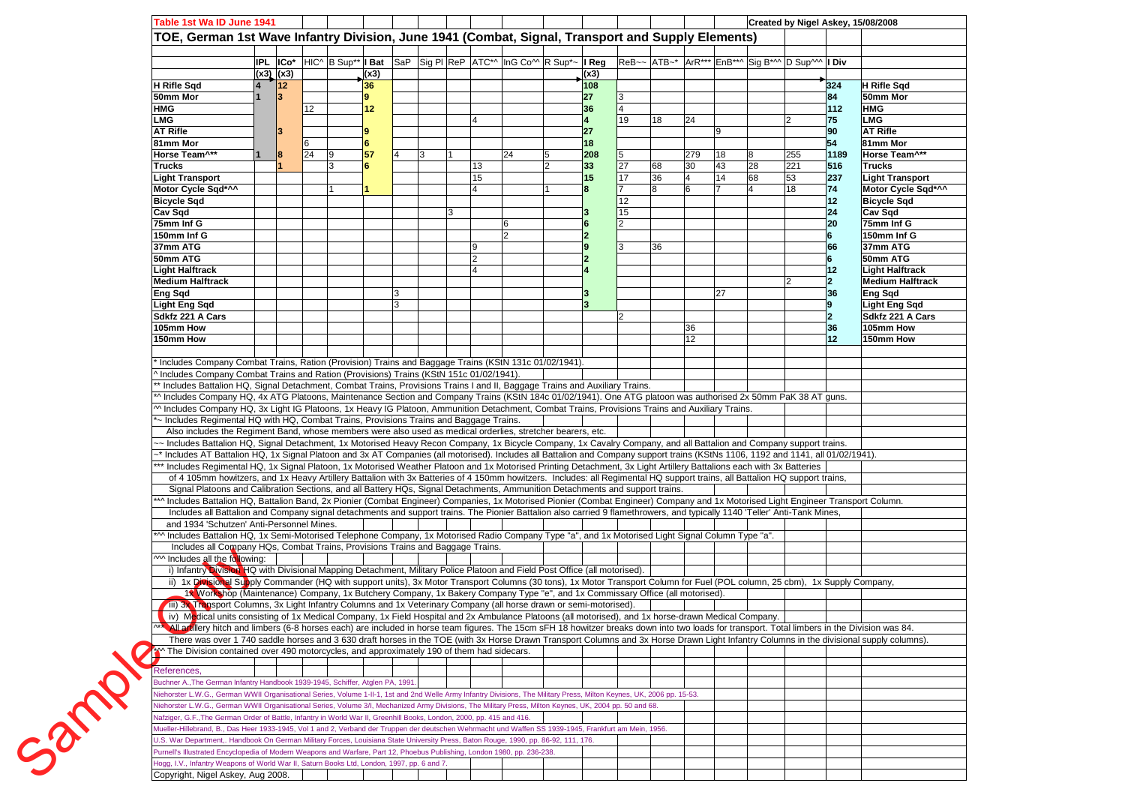| Table 1st Wa ID June 1941                                                                                                                                                                                                                                                                                                                                                                |               |                |                 |   |      |   |   |                                                                                              |   |                |                |    |                 |    |    |                                                                                            |                 | Created by Nigel Askey, 15/08/2008 |
|------------------------------------------------------------------------------------------------------------------------------------------------------------------------------------------------------------------------------------------------------------------------------------------------------------------------------------------------------------------------------------------|---------------|----------------|-----------------|---|------|---|---|----------------------------------------------------------------------------------------------|---|----------------|----------------|----|-----------------|----|----|--------------------------------------------------------------------------------------------|-----------------|------------------------------------|
| TOE, German 1st Wave Infantry Division, June 1941 (Combat, Signal, Transport and Supply Elements)                                                                                                                                                                                                                                                                                        |               |                |                 |   |      |   |   |                                                                                              |   |                |                |    |                 |    |    |                                                                                            |                 |                                    |
|                                                                                                                                                                                                                                                                                                                                                                                          |               |                |                 |   |      |   |   |                                                                                              |   |                |                |    |                 |    |    |                                                                                            |                 |                                    |
|                                                                                                                                                                                                                                                                                                                                                                                          |               |                |                 |   |      |   |   | <b>IPL ICo</b> * HIC^ B Sup** I Bat SaP Sig PI ReP ATC*^ InG Co^^ R Sup <sup>*</sup> ~ I Reg |   |                |                |    |                 |    |    | $\left ReB\right  \sim \left ATB\right $ $\left  ArrR*** EnB*** SiaB*M D\right  Sup$   Div |                 |                                    |
|                                                                                                                                                                                                                                                                                                                                                                                          | $(x3)$ $(x3)$ |                |                 |   | (x3) |   |   |                                                                                              |   | (x3)           |                |    |                 |    |    |                                                                                            |                 |                                    |
| H Rifle Sqd                                                                                                                                                                                                                                                                                                                                                                              |               | $12$           |                 |   | 36   |   |   |                                                                                              |   | 108            |                |    |                 |    |    |                                                                                            | 324             | <b>H</b> Rifle Sqd                 |
| 50mm Mor                                                                                                                                                                                                                                                                                                                                                                                 |               | $\overline{3}$ |                 |   | 9    |   |   |                                                                                              |   | 27             |                |    |                 |    |    |                                                                                            | 84              | 50mm Mor                           |
| HMG                                                                                                                                                                                                                                                                                                                                                                                      |               |                | 12              |   | 12   |   |   | 4                                                                                            |   | 36             | 19             |    |                 |    |    |                                                                                            | 112             | <b>HMG</b><br><b>LMG</b>           |
| <b>LMG</b><br><b>AT Rifle</b>                                                                                                                                                                                                                                                                                                                                                            |               |                |                 |   | 9    |   |   |                                                                                              |   | 27             |                | 18 | 24              | 9  |    | l2                                                                                         | 75<br>90        | <b>AT Rifle</b>                    |
| 81mm Mor                                                                                                                                                                                                                                                                                                                                                                                 |               |                | 6               |   | 6    |   |   |                                                                                              |   | 18             |                |    |                 |    |    |                                                                                            | 54              | 81mm Mor                           |
| Horse Team <sup>^**</sup>                                                                                                                                                                                                                                                                                                                                                                |               |                | $\overline{24}$ | 9 | 57   |   | 3 | 24                                                                                           |   | 208            |                |    | 279             | 18 |    | 255                                                                                        | 1189            | Horse Team <sup>^**</sup>          |
| <b>Trucks</b>                                                                                                                                                                                                                                                                                                                                                                            |               |                |                 | 3 | 6    |   |   | 13                                                                                           | 2 | 33             | 27             | 68 | 30              | 43 | 28 | 221                                                                                        | 516             | <b>Trucks</b>                      |
| <b>Light Transport</b>                                                                                                                                                                                                                                                                                                                                                                   |               |                |                 |   |      |   |   | 15                                                                                           |   | 15             | $\sqrt{17}$    | 36 |                 | 14 | 68 | 53                                                                                         | 237             | <b>Light Transport</b>             |
| Motor Cycle Sqd*^^                                                                                                                                                                                                                                                                                                                                                                       |               |                |                 |   |      |   |   | 4                                                                                            |   |                |                | 8  |                 |    |    | 18                                                                                         | 74              | Motor Cycle Sqd*^^                 |
| <b>Bicycle Sqd</b>                                                                                                                                                                                                                                                                                                                                                                       |               |                |                 |   |      |   |   |                                                                                              |   |                | 12             |    |                 |    |    |                                                                                            | 12              | <b>Bicycle Sqd</b>                 |
| Cav Sqd                                                                                                                                                                                                                                                                                                                                                                                  |               |                |                 |   |      |   | 3 |                                                                                              |   |                | 15             |    |                 |    |    |                                                                                            | 24              | Cav Sqd                            |
| 75mm Inf G                                                                                                                                                                                                                                                                                                                                                                               |               |                |                 |   |      |   |   | 6                                                                                            |   |                | C              |    |                 |    |    |                                                                                            | 20              | 75mm Inf G                         |
| 150mm Inf G                                                                                                                                                                                                                                                                                                                                                                              |               |                |                 |   |      |   |   | $\mathcal{P}$                                                                                |   | $\overline{2}$ |                |    |                 |    |    |                                                                                            | 6               | 150mm Inf G                        |
| 37mm ATG                                                                                                                                                                                                                                                                                                                                                                                 |               |                |                 |   |      |   |   | Ι9                                                                                           |   |                |                | 36 |                 |    |    |                                                                                            | 66              | 37mm ATG                           |
| 50mm ATG                                                                                                                                                                                                                                                                                                                                                                                 |               |                |                 |   |      |   |   | $\overline{2}$                                                                               |   | $\overline{2}$ |                |    |                 |    |    |                                                                                            | 6               | 50mm ATG                           |
| <b>Light Halftrack</b>                                                                                                                                                                                                                                                                                                                                                                   |               |                |                 |   |      |   |   | $\overline{\mathbf{A}}$                                                                      |   |                |                |    |                 |    |    |                                                                                            | 12              | Light Halftrack                    |
| <b>Medium Halftrack</b>                                                                                                                                                                                                                                                                                                                                                                  |               |                |                 |   |      |   |   |                                                                                              |   |                |                |    |                 |    |    | 12                                                                                         | $\overline{2}$  | <b>Medium Halftrack</b>            |
| Eng Sqd                                                                                                                                                                                                                                                                                                                                                                                  |               |                |                 |   |      | 3 |   |                                                                                              |   |                |                |    |                 | 27 |    |                                                                                            | 36              | Eng Sqd                            |
| <b>Light Eng Sqd</b>                                                                                                                                                                                                                                                                                                                                                                     |               |                |                 |   |      | 3 |   |                                                                                              |   |                |                |    |                 |    |    |                                                                                            | 9               | <b>Light Eng Sqd</b>               |
| Sdkfz 221 A Cars                                                                                                                                                                                                                                                                                                                                                                         |               |                |                 |   |      |   |   |                                                                                              |   |                | $\overline{2}$ |    |                 |    |    |                                                                                            | $\overline{2}$  | Sdkfz 221 A Cars                   |
| 105mm How                                                                                                                                                                                                                                                                                                                                                                                |               |                |                 |   |      |   |   |                                                                                              |   |                |                |    | 36              |    |    |                                                                                            | 36              | 105mm How                          |
| 150mm How                                                                                                                                                                                                                                                                                                                                                                                |               |                |                 |   |      |   |   |                                                                                              |   |                |                |    | 12 <sup>2</sup> |    |    |                                                                                            | 12 <sup>2</sup> | 150mm How                          |
|                                                                                                                                                                                                                                                                                                                                                                                          |               |                |                 |   |      |   |   |                                                                                              |   |                |                |    |                 |    |    |                                                                                            |                 |                                    |
| Includes Company Combat Trains, Ration (Provision) Trains and Baggage Trains (KStN 131c 01/02/1941).                                                                                                                                                                                                                                                                                     |               |                |                 |   |      |   |   |                                                                                              |   |                |                |    |                 |    |    |                                                                                            |                 |                                    |
| Includes Company Combat Trains and Ration (Provisions) Trains (KStN 151c 01/02/1941).                                                                                                                                                                                                                                                                                                    |               |                |                 |   |      |   |   |                                                                                              |   |                |                |    |                 |    |    |                                                                                            |                 |                                    |
| * Includes Battalion HQ, Signal Detachment, Combat Trains, Provisions Trains I and II, Baggage Trains and Auxiliary Trains.                                                                                                                                                                                                                                                              |               |                |                 |   |      |   |   |                                                                                              |   |                |                |    |                 |    |    |                                                                                            |                 |                                    |
| A Includes Company HQ, 4x ATG Platoons, Maintenance Section and Company Trains (KStN 184c 01/02/1941). One ATG platoon was authorised 2x 50mm PaK 38 AT guns.                                                                                                                                                                                                                            |               |                |                 |   |      |   |   |                                                                                              |   |                |                |    |                 |    |    |                                                                                            |                 |                                    |
| M Includes Company HQ, 3x Light IG Platoons, 1x Heavy IG Platoon, Ammunition Detachment, Combat Trains, Provisions Trains and Auxiliary Trains.                                                                                                                                                                                                                                          |               |                |                 |   |      |   |   |                                                                                              |   |                |                |    |                 |    |    |                                                                                            |                 |                                    |
| - Includes Regimental HQ with HQ, Combat Trains, Provisions Trains and Baggage Trains.                                                                                                                                                                                                                                                                                                   |               |                |                 |   |      |   |   |                                                                                              |   |                |                |    |                 |    |    |                                                                                            |                 |                                    |
| Also includes the Regiment Band, whose members were also used as medical orderlies, stretcher bearers, etc.                                                                                                                                                                                                                                                                              |               |                |                 |   |      |   |   |                                                                                              |   |                |                |    |                 |    |    |                                                                                            |                 |                                    |
| ~ Includes Battalion HQ, Signal Detachment, 1x Motorised Heavy Recon Company, 1x Bicycle Company, 1x Cavalry Company, and all Battalion and Company support trains.                                                                                                                                                                                                                      |               |                |                 |   |      |   |   |                                                                                              |   |                |                |    |                 |    |    |                                                                                            |                 |                                    |
| * Includes AT Battalion HQ, 1x Signal Platoon and 3x AT Companies (all motorised). Includes all Battalion and Company support trains (KStNs 1106, 1192 and 1141, all 01/02/1941).                                                                                                                                                                                                        |               |                |                 |   |      |   |   |                                                                                              |   |                |                |    |                 |    |    |                                                                                            |                 |                                    |
| ** Includes Regimental HQ, 1x Signal Platoon, 1x Motorised Weather Platoon and 1x Motorised Printing Detachment, 3x Light Artillery Battalions each with 3x Batteries                                                                                                                                                                                                                    |               |                |                 |   |      |   |   |                                                                                              |   |                |                |    |                 |    |    |                                                                                            |                 |                                    |
| of 4 105mm howitzers, and 1x Heavy Artillery Battalion with 3x Batteries of 4 150mm howitzers. Includes: all Regimental HQ support trains, all Battalion HQ support trains,                                                                                                                                                                                                              |               |                |                 |   |      |   |   |                                                                                              |   |                |                |    |                 |    |    |                                                                                            |                 |                                    |
| Signal Platoons and Calibration Sections, and all Battery HQs, Signal Detachments, Ammunition Detachments and support trains.<br>*^ Includes Battalion HQ, Battalion Band, 2x Pionier (Combat Engineer) Companies, 1x Motorised Pionier (Combat Engineer) Company and 1x Motorised Light Engineer Transport Column.                                                                      |               |                |                 |   |      |   |   |                                                                                              |   |                |                |    |                 |    |    |                                                                                            |                 |                                    |
| Includes all Battalion and Company signal detachments and support trains. The Pionier Battalion also carried 9 flamethrowers, and typically 1140 'Teller' Anti-Tank Mines,                                                                                                                                                                                                               |               |                |                 |   |      |   |   |                                                                                              |   |                |                |    |                 |    |    |                                                                                            |                 |                                    |
| and 1934 'Schutzen' Anti-Personnel Mines.                                                                                                                                                                                                                                                                                                                                                |               |                |                 |   |      |   |   |                                                                                              |   |                |                |    |                 |    |    |                                                                                            |                 |                                    |
| ** Includes Battalion HQ, 1x Semi-Motorised Telephone Company, 1x Motorised Radio Company Type "a", and 1x Motorised Light Signal Column Type "a".                                                                                                                                                                                                                                       |               |                |                 |   |      |   |   |                                                                                              |   |                |                |    |                 |    |    |                                                                                            |                 |                                    |
| Includes all Company HQs, Combat Trains, Provisions Trains and Baggage Trains.                                                                                                                                                                                                                                                                                                           |               |                |                 |   |      |   |   |                                                                                              |   |                |                |    |                 |    |    |                                                                                            |                 |                                    |
| M Includes all the following:                                                                                                                                                                                                                                                                                                                                                            |               |                |                 |   |      |   |   |                                                                                              |   |                |                |    |                 |    |    |                                                                                            |                 |                                    |
| i) Infantry Dusion HQ with Divisional Mapping Detachment, Military Police Platoon and Field Post Office (all motorised).                                                                                                                                                                                                                                                                 |               |                |                 |   |      |   |   |                                                                                              |   |                |                |    |                 |    |    |                                                                                            |                 |                                    |
| ii) 1x Divisional Supply Commander (HQ with support units), 3x Motor Transport Columns (30 tons), 1x Motor Transport Column for Fuel (POL column, 25 cbm), 1x Supply Company,                                                                                                                                                                                                            |               |                |                 |   |      |   |   |                                                                                              |   |                |                |    |                 |    |    |                                                                                            |                 |                                    |
| 1% Vorkshop (Maintenance) Company, 1x Butchery Company, 1x Bakery Company Type "e", and 1x Commissary Office (all motorised).                                                                                                                                                                                                                                                            |               |                |                 |   |      |   |   |                                                                                              |   |                |                |    |                 |    |    |                                                                                            |                 |                                    |
|                                                                                                                                                                                                                                                                                                                                                                                          |               |                |                 |   |      |   |   |                                                                                              |   |                |                |    |                 |    |    |                                                                                            |                 |                                    |
|                                                                                                                                                                                                                                                                                                                                                                                          |               |                |                 |   |      |   |   |                                                                                              |   |                |                |    |                 |    |    |                                                                                            |                 |                                    |
| iii) 3X Transport Columns, 3x Light Infantry Columns and 1x Veterinary Company (all horse drawn or semi-motorised).                                                                                                                                                                                                                                                                      |               |                |                 |   |      |   |   |                                                                                              |   |                |                |    |                 |    |    |                                                                                            |                 |                                    |
| iv) Medical units consisting of 1x Medical Company, 1x Field Hospital and 2x Ambulance Platoons (all motorised), and 1x horse-drawn Medical Company.                                                                                                                                                                                                                                     |               |                |                 |   |      |   |   |                                                                                              |   |                |                |    |                 |    |    |                                                                                            |                 |                                    |
| All an lery hitch and limbers (6-8 horses each) are included in horse team figures. The 15cm sFH 18 howitzer breaks down into two loads for transport. Total limbers in the Division was 84.<br>There was over 1 740 saddle horses and 3 630 draft horses in the TOE (with 3x Horse Drawn Transport Columns and 3x Horse Drawn Light Infantry Columns in the divisional supply columns). |               |                |                 |   |      |   |   |                                                                                              |   |                |                |    |                 |    |    |                                                                                            |                 |                                    |
| M The Division contained over 490 motorcycles, and approximately 190 of them had sidecars.                                                                                                                                                                                                                                                                                               |               |                |                 |   |      |   |   |                                                                                              |   |                |                |    |                 |    |    |                                                                                            |                 |                                    |
|                                                                                                                                                                                                                                                                                                                                                                                          |               |                |                 |   |      |   |   |                                                                                              |   |                |                |    |                 |    |    |                                                                                            |                 |                                    |
| References,                                                                                                                                                                                                                                                                                                                                                                              |               |                |                 |   |      |   |   |                                                                                              |   |                |                |    |                 |    |    |                                                                                            |                 |                                    |
| Buchner A., The German Infantry Handbook 1939-1945, Schiffer, Atglen PA, 1991.                                                                                                                                                                                                                                                                                                           |               |                |                 |   |      |   |   |                                                                                              |   |                |                |    |                 |    |    |                                                                                            |                 |                                    |
| Viehorster L.W.G., German WWII Organisational Series, Volume 1-II-1, 1st and 2nd Welle Army Infantry Divisions, The Military Press, Milton Keynes, UK, 2006 pp. 15-53.                                                                                                                                                                                                                   |               |                |                 |   |      |   |   |                                                                                              |   |                |                |    |                 |    |    |                                                                                            |                 |                                    |
| Viehorster L.W.G., German WWII Organisational Series, Volume 3/I, Mechanized Army Divisions, The Military Press, Milton Keynes, UK, 2004 pp. 50 and 68.                                                                                                                                                                                                                                  |               |                |                 |   |      |   |   |                                                                                              |   |                |                |    |                 |    |    |                                                                                            |                 |                                    |
| Nafziger, G.F.,The German Order of Battle, Infantry in World War II, Greenhill Books, London, 2000, pp. 415 and 416.                                                                                                                                                                                                                                                                     |               |                |                 |   |      |   |   |                                                                                              |   |                |                |    |                 |    |    |                                                                                            |                 |                                    |
| Mueller-Hillebrand, B., Das Heer 1933-1945, Vol 1 and 2, Verband der Truppen der deutschen Wehrmacht und Waffen SS 1939-1945, Frankfurt am Mein, 1956.                                                                                                                                                                                                                                   |               |                |                 |   |      |   |   |                                                                                              |   |                |                |    |                 |    |    |                                                                                            |                 |                                    |
| J.S. War Department,. Handbook On German Military Forces, Louisiana State University Press, Baton Rouge, 1990, pp. 86-92, 111, 176.                                                                                                                                                                                                                                                      |               |                |                 |   |      |   |   |                                                                                              |   |                |                |    |                 |    |    |                                                                                            |                 |                                    |
| Purnell's Illustrated Encyclopedia of Modern Weapons and Warfare, Part 12, Phoebus Publishing, London 1980, pp. 236-238.                                                                                                                                                                                                                                                                 |               |                |                 |   |      |   |   |                                                                                              |   |                |                |    |                 |    |    |                                                                                            |                 |                                    |
| Sample<br>logg, I.V., Infantry Weapons of World War II, Saturn Books Ltd, London, 1997, pp. 6 and 7.                                                                                                                                                                                                                                                                                     |               |                |                 |   |      |   |   |                                                                                              |   |                |                |    |                 |    |    |                                                                                            |                 |                                    |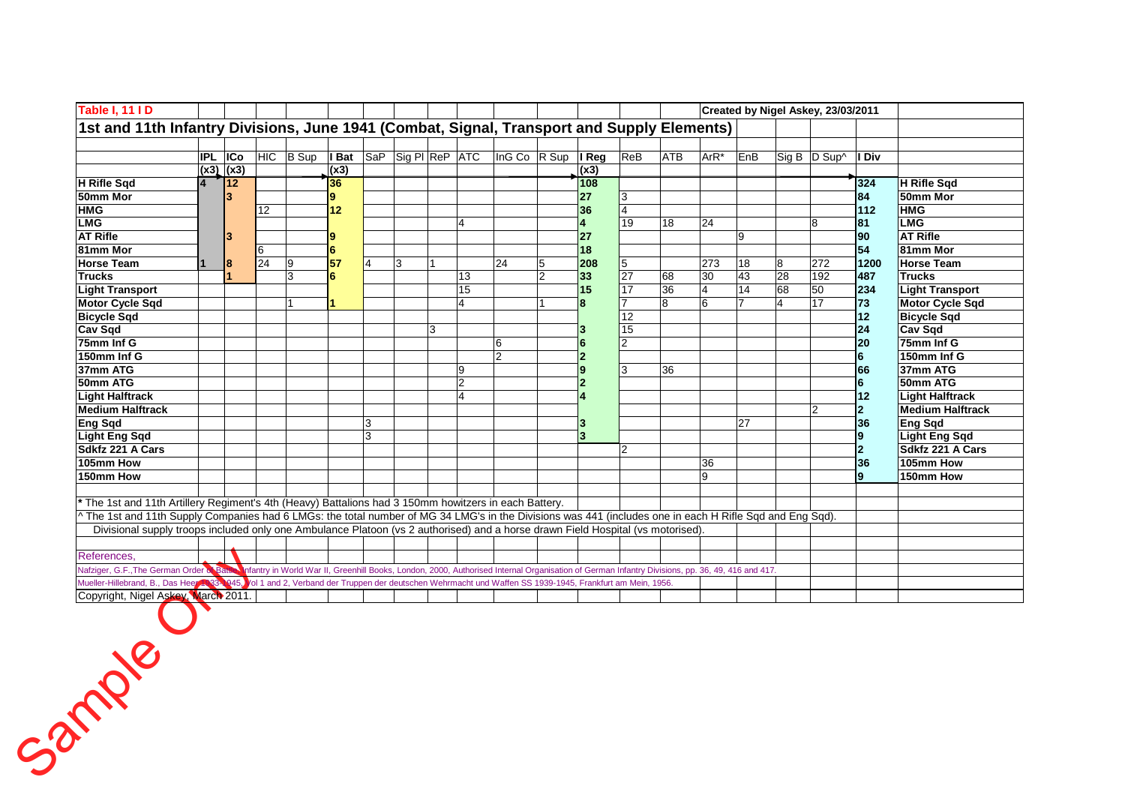| Table I, 11 I D                                                                                                                                                                           |            |               |                 |              |                               |                |   |   |                |                |                |                |                 |                |      |     |                | Created by Nigel Askey, 23/03/2011 |                |                         |
|-------------------------------------------------------------------------------------------------------------------------------------------------------------------------------------------|------------|---------------|-----------------|--------------|-------------------------------|----------------|---|---|----------------|----------------|----------------|----------------|-----------------|----------------|------|-----|----------------|------------------------------------|----------------|-------------------------|
| 1st and 11th Infantry Divisions, June 1941 (Combat, Signal, Transport and Supply Elements)                                                                                                |            |               |                 |              |                               |                |   |   |                |                |                |                |                 |                |      |     |                |                                    |                |                         |
|                                                                                                                                                                                           |            |               |                 |              |                               |                |   |   |                |                |                |                |                 |                |      |     |                |                                    |                |                         |
|                                                                                                                                                                                           | <b>IPL</b> | <b>ICo</b>    | <b>HIC</b>      | <b>B</b> Sup | <b>Bat</b> SaP Sig PI ReP ATC |                |   |   |                | InG Co R Sup   |                | I Reg          | ReB             | <b>ATB</b>     | ArR* | EnB |                | Sig B D Sup^                       | I Div          |                         |
|                                                                                                                                                                                           |            | $(x3)$ $(x3)$ |                 |              | (x3)                          |                |   |   |                |                |                | (x3)           |                 |                |      |     |                |                                    |                |                         |
| <b>H</b> Rifle Sqd                                                                                                                                                                        |            | <b>12</b>     |                 |              | 36                            |                |   |   |                |                |                | 108            |                 |                |      |     |                |                                    | 324            | H Rifle Sqd             |
| 50mm Mor                                                                                                                                                                                  |            |               |                 |              | 9                             |                |   |   |                |                |                | 27             | 3               |                |      |     |                |                                    | 84             | 50mm Mor                |
| <b>HMG</b>                                                                                                                                                                                |            |               | 12              |              | 12                            |                |   |   |                |                |                | 36             |                 |                |      |     |                |                                    | 112            | <b>HMG</b>              |
| <b>LMG</b>                                                                                                                                                                                |            |               |                 |              |                               |                |   |   | $\overline{4}$ |                |                | $\overline{4}$ | 19              | 18             | 24   |     |                | 8                                  | 81             | <b>LMG</b>              |
| <b>AT Rifle</b>                                                                                                                                                                           |            |               |                 |              | 9                             |                |   |   |                |                |                | 27             |                 |                |      | 9   |                |                                    | 90             | <b>AT Rifle</b>         |
| 81mm Mor                                                                                                                                                                                  |            |               | 6               |              | $6\phantom{1}$                |                |   |   |                |                |                | 18             |                 |                |      |     |                |                                    | 54             | 81mm Mor                |
| <b>Horse Team</b>                                                                                                                                                                         |            |               | $\overline{24}$ | Ι9           | 57                            | $\overline{4}$ | 3 |   |                | 24             | 5              | 208            | 5               |                | 273  | 18  | 8              | 272                                | 1200           | <b>Horse Team</b>       |
| <b>Trucks</b>                                                                                                                                                                             |            |               |                 | 3            | 6                             |                |   |   | 13             |                | $\overline{2}$ | 33             | $\overline{27}$ | 68             | 30   | 43  | 28             | 192                                | 487            | <b>Trucks</b>           |
| <b>Light Transport</b>                                                                                                                                                                    |            |               |                 |              |                               |                |   |   | 15             |                |                | 15             | 17              | 36             | 4    | 14  | 68             | 50                                 | 234            | <b>Light Transport</b>  |
| <b>Motor Cycle Sqd</b>                                                                                                                                                                    |            |               |                 |              |                               |                |   |   | $\overline{4}$ |                |                | 8              |                 | $\overline{8}$ | 6    |     | $\overline{4}$ | 17                                 | 73             | <b>Motor Cycle Sad</b>  |
| <b>Bicycle Sqd</b>                                                                                                                                                                        |            |               |                 |              |                               |                |   |   |                |                |                |                | $\overline{12}$ |                |      |     |                |                                    | 12             | <b>Bicycle Sqd</b>      |
| <b>Cav Sqd</b>                                                                                                                                                                            |            |               |                 |              |                               |                |   | 3 |                |                |                |                | 15              |                |      |     |                |                                    | 24             | <b>Cav Sqd</b>          |
| 75mm Inf G                                                                                                                                                                                |            |               |                 |              |                               |                |   |   |                | 6              |                | 6              | $\overline{2}$  |                |      |     |                |                                    | 20             | 75mm Inf G              |
| 150mm Inf G                                                                                                                                                                               |            |               |                 |              |                               |                |   |   |                | $\overline{2}$ |                | $\overline{2}$ |                 |                |      |     |                |                                    | 6              | 150mm Inf G             |
| 37mm ATG                                                                                                                                                                                  |            |               |                 |              |                               |                |   |   | 9              |                |                | 9              | 3               | 36             |      |     |                |                                    | 66             | 37mm ATG                |
| 50mm ATG                                                                                                                                                                                  |            |               |                 |              |                               |                |   |   | $\overline{2}$ |                |                | $\overline{2}$ |                 |                |      |     |                |                                    | 6              | 50mm ATG                |
| <b>Light Halftrack</b>                                                                                                                                                                    |            |               |                 |              |                               |                |   |   | $\overline{4}$ |                |                |                |                 |                |      |     |                |                                    | 12             | <b>Light Halftrack</b>  |
| <b>Medium Halftrack</b>                                                                                                                                                                   |            |               |                 |              |                               |                |   |   |                |                |                |                |                 |                |      |     |                | $\overline{2}$                     | $\mathbf{2}$   | <b>Medium Halftrack</b> |
| Eng Sqd                                                                                                                                                                                   |            |               |                 |              |                               | 3              |   |   |                |                |                | K              |                 |                |      | 27  |                |                                    | 36             | <b>Eng Sqd</b>          |
| <b>Light Eng Sqd</b>                                                                                                                                                                      |            |               |                 |              |                               | 3              |   |   |                |                |                | 3              |                 |                |      |     |                |                                    | $\mathbf{9}$   | <b>Light Eng Sqd</b>    |
| Sdkfz 221 A Cars                                                                                                                                                                          |            |               |                 |              |                               |                |   |   |                |                |                |                | 2               |                |      |     |                |                                    | $\overline{2}$ | Sdkfz 221 A Cars        |
| 105mm How                                                                                                                                                                                 |            |               |                 |              |                               |                |   |   |                |                |                |                |                 |                | 36   |     |                |                                    | 36             | 105mm How               |
| 150mm How                                                                                                                                                                                 |            |               |                 |              |                               |                |   |   |                |                |                |                |                 |                | 9    |     |                |                                    | $\mathbf{9}$   | 150mm How               |
|                                                                                                                                                                                           |            |               |                 |              |                               |                |   |   |                |                |                |                |                 |                |      |     |                |                                    |                |                         |
| * The 1st and 11th Artillery Regiment's 4th (Heavy) Battalions had 3 150mm howitzers in each Battery.                                                                                     |            |               |                 |              |                               |                |   |   |                |                |                |                |                 |                |      |     |                |                                    |                |                         |
| ^The 1st and 11th Supply Companies had 6 LMGs: the total number of MG 34 LMG's in the Divisions was 441 (includes one in each H Rifle Sqd and Eng Sqd).                                   |            |               |                 |              |                               |                |   |   |                |                |                |                |                 |                |      |     |                |                                    |                |                         |
| Divisional supply troops included only one Ambulance Platoon (vs 2 authorised) and a horse drawn Field Hospital (vs motorised).                                                           |            |               |                 |              |                               |                |   |   |                |                |                |                |                 |                |      |     |                |                                    |                |                         |
|                                                                                                                                                                                           |            |               |                 |              |                               |                |   |   |                |                |                |                |                 |                |      |     |                |                                    |                |                         |
| References.                                                                                                                                                                               |            |               |                 |              |                               |                |   |   |                |                |                |                |                 |                |      |     |                |                                    |                |                         |
| Nafziger, G.F., The German Order of Bank Infantry in World War II, Greenhill Books, London, 2000, Authorised Internal Organisation of German Infantry Divisions, pp. 36, 49, 416 and 417. |            |               |                 |              |                               |                |   |   |                |                |                |                |                 |                |      |     |                |                                    |                |                         |
| Mueller-Hillebrand, B., Das Heer 1933-045, Jol 1 and 2, Verband der Truppen der deutschen Wehrmacht und Waffen SS 1939-1945, Frankfurt am Mein, 1956.                                     |            |               |                 |              |                               |                |   |   |                |                |                |                |                 |                |      |     |                |                                    |                |                         |
| Copyright, Nigel Askey, March 2011.                                                                                                                                                       |            |               |                 |              |                               |                |   |   |                |                |                |                |                 |                |      |     |                |                                    |                |                         |

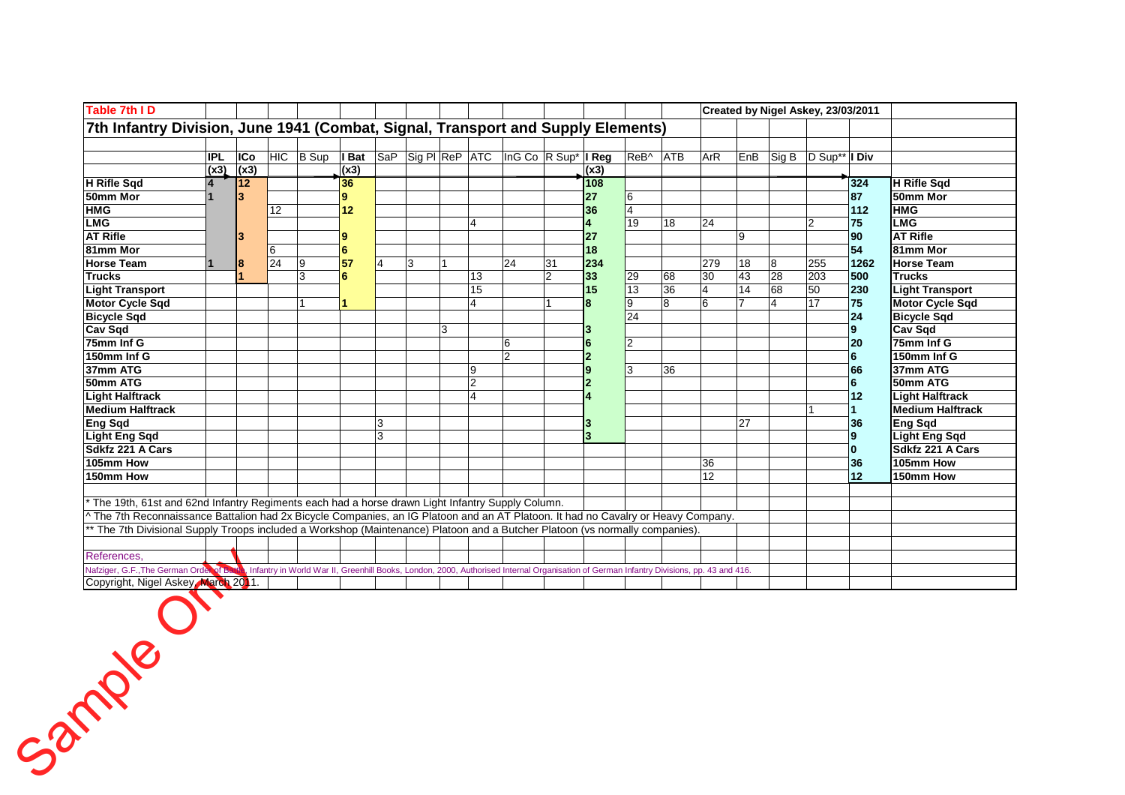| Table 7th ID                                                                                                                                                                     |                |      |                 |           |                 |   |                                                            |   |                        |                                            |                |                |          |    |            |                 |    |                                  | Created by Nigel Askey, 23/03/2011 |                         |
|----------------------------------------------------------------------------------------------------------------------------------------------------------------------------------|----------------|------|-----------------|-----------|-----------------|---|------------------------------------------------------------|---|------------------------|--------------------------------------------|----------------|----------------|----------|----|------------|-----------------|----|----------------------------------|------------------------------------|-------------------------|
| 7th Infantry Division, June 1941 (Combat, Signal, Transport and Supply Elements)                                                                                                 |                |      |                 |           |                 |   |                                                            |   |                        |                                            |                |                |          |    |            |                 |    |                                  |                                    |                         |
|                                                                                                                                                                                  |                |      |                 |           |                 |   |                                                            |   |                        |                                            |                |                |          |    |            |                 |    |                                  |                                    |                         |
|                                                                                                                                                                                  | <b>IPL</b>     | ICo  |                 | HIC B Sup | I Bat           |   | $\overline{\text{SaP}}$ Sig PI ReP $\overline{\text{ATC}}$ |   |                        | $\ln G$ Co $\ln \text{Sup}^*$ <b>I Reg</b> |                |                | ReB^ ATB |    | <b>ArR</b> |                 |    | $ EnB $ Sig B $ D Sup^{**} $ Div |                                    |                         |
|                                                                                                                                                                                  | (x3)           | (x3) |                 |           | (x3)            |   |                                                            |   |                        |                                            |                | (x3)           |          |    |            |                 |    |                                  |                                    |                         |
| H Rifle Sad                                                                                                                                                                      | $\overline{A}$ | 12   |                 |           | 36              |   |                                                            |   |                        |                                            |                | 108            |          |    |            |                 |    |                                  | 324                                | H Rifle Sad             |
| 50mm Mor                                                                                                                                                                         |                | 3    |                 |           | $\bf{9}$        |   |                                                            |   |                        |                                            |                | 27             | 6        |    |            |                 |    |                                  | 87                                 | 50mm Mor                |
| <b>HMG</b>                                                                                                                                                                       |                |      | 12              |           | 12              |   |                                                            |   |                        |                                            |                | 36             | 4        |    |            |                 |    |                                  | 112                                | <b>HMG</b>              |
| <b>LMG</b>                                                                                                                                                                       |                |      |                 |           |                 |   |                                                            |   | $\boldsymbol{\Lambda}$ |                                            |                |                | 19       | 18 | 24         |                 |    | 2                                | 75                                 | <b>LMG</b>              |
| <b>AT Rifle</b>                                                                                                                                                                  |                | 3    |                 |           | g               |   |                                                            |   |                        |                                            |                | 27             |          |    |            | 9               |    |                                  | 90                                 | <b>AT Rifle</b>         |
| 81mm Mor                                                                                                                                                                         |                |      | 6               |           | $6\phantom{1}6$ |   |                                                            |   |                        |                                            |                | 18             |          |    |            |                 |    |                                  | 54                                 | 81mm Mor                |
| <b>Horse Team</b>                                                                                                                                                                |                | 8    | $\overline{24}$ | 9         | 57              | 4 | 3                                                          |   |                        | 24                                         | 31             | 234            |          |    | 279        | 18              | 8  | 255                              | 1262                               | <b>Horse Team</b>       |
| <b>Trucks</b>                                                                                                                                                                    |                |      |                 | 3         | 6               |   |                                                            |   | 13                     |                                            | $\overline{2}$ | 33             | 29       | 68 | 30         | 43              | 28 | 203                              | 500                                | <b>Trucks</b>           |
| <b>Light Transport</b>                                                                                                                                                           |                |      |                 |           |                 |   |                                                            |   | 15                     |                                            |                | 15             | 13       | 36 | 4          | $\overline{14}$ | 68 | 50                               | 230                                | <b>Light Transport</b>  |
| <b>Motor Cycle Sqd</b>                                                                                                                                                           |                |      |                 |           |                 |   |                                                            |   | $\overline{4}$         |                                            |                | 8              | 9        | 8  | 6          |                 | 14 | 17                               | 75                                 | <b>Motor Cycle Sqd</b>  |
| <b>Bicycle Sqd</b>                                                                                                                                                               |                |      |                 |           |                 |   |                                                            |   |                        |                                            |                |                | 24       |    |            |                 |    |                                  | 24                                 | <b>Bicycle Sqd</b>      |
| <b>Cav Sqd</b>                                                                                                                                                                   |                |      |                 |           |                 |   |                                                            | 3 |                        |                                            |                |                |          |    |            |                 |    |                                  |                                    | <b>Cav Sqd</b>          |
| 75mm Inf G                                                                                                                                                                       |                |      |                 |           |                 |   |                                                            |   |                        | $6\phantom{1}6$                            |                | 6              | l2       |    |            |                 |    |                                  | 20                                 | 75mm Inf G              |
| 150mm Inf G                                                                                                                                                                      |                |      |                 |           |                 |   |                                                            |   |                        | $\overline{2}$                             |                | $\overline{2}$ |          |    |            |                 |    |                                  | 6                                  | 150mm Inf G             |
| 37mm ATG                                                                                                                                                                         |                |      |                 |           |                 |   |                                                            |   | 9                      |                                            |                |                | 3        | 36 |            |                 |    |                                  | 66                                 | 37mm ATG                |
| 50mm ATG                                                                                                                                                                         |                |      |                 |           |                 |   |                                                            |   | $\overline{2}$         |                                            |                |                |          |    |            |                 |    |                                  | 6                                  | 50mm ATG                |
| <b>Light Halftrack</b>                                                                                                                                                           |                |      |                 |           |                 |   |                                                            |   | $\overline{A}$         |                                            |                |                |          |    |            |                 |    |                                  | 12                                 | <b>Light Halftrack</b>  |
| <b>Medium Halftrack</b>                                                                                                                                                          |                |      |                 |           |                 |   |                                                            |   |                        |                                            |                |                |          |    |            |                 |    |                                  |                                    | <b>Medium Halftrack</b> |
| <b>Eng Sqd</b>                                                                                                                                                                   |                |      |                 |           |                 | 3 |                                                            |   |                        |                                            |                |                |          |    |            | 27              |    |                                  | 36                                 | <b>Eng Sqd</b>          |
| <b>Light Eng Sqd</b>                                                                                                                                                             |                |      |                 |           |                 | 3 |                                                            |   |                        |                                            |                | 3              |          |    |            |                 |    |                                  |                                    | <b>Light Eng Sqd</b>    |
| <b>Sdkfz 221 A Cars</b>                                                                                                                                                          |                |      |                 |           |                 |   |                                                            |   |                        |                                            |                |                |          |    |            |                 |    |                                  |                                    | Sdkfz 221 A Cars        |
| 105mm How                                                                                                                                                                        |                |      |                 |           |                 |   |                                                            |   |                        |                                            |                |                |          |    | 36         |                 |    |                                  | 36                                 | 105mm How               |
| 150mm How                                                                                                                                                                        |                |      |                 |           |                 |   |                                                            |   |                        |                                            |                |                |          |    | 12         |                 |    |                                  | 12                                 | 150mm How               |
|                                                                                                                                                                                  |                |      |                 |           |                 |   |                                                            |   |                        |                                            |                |                |          |    |            |                 |    |                                  |                                    |                         |
| The 19th, 61st and 62nd Infantry Regiments each had a horse drawn Light Infantry Supply Column.                                                                                  |                |      |                 |           |                 |   |                                                            |   |                        |                                            |                |                |          |    |            |                 |    |                                  |                                    |                         |
| ^ The 7th Reconnaissance Battalion had 2x Bicycle Companies, an IG Platoon and an AT Platoon. It had no Cavalry or Heavy Company.                                                |                |      |                 |           |                 |   |                                                            |   |                        |                                            |                |                |          |    |            |                 |    |                                  |                                    |                         |
| The 7th Divisional Supply Troops included a Workshop (Maintenance) Platoon and a Butcher Platoon (vs normally companies)                                                         |                |      |                 |           |                 |   |                                                            |   |                        |                                            |                |                |          |    |            |                 |    |                                  |                                    |                         |
|                                                                                                                                                                                  |                |      |                 |           |                 |   |                                                            |   |                        |                                            |                |                |          |    |            |                 |    |                                  |                                    |                         |
| References,                                                                                                                                                                      |                |      |                 |           |                 |   |                                                            |   |                        |                                            |                |                |          |    |            |                 |    |                                  |                                    |                         |
| Nafziger, G.F., The German Order of Back Infantry in World War II, Greenhill Books, London, 2000, Authorised Internal Organisation of German Infantry Divisions, pp. 43 and 416. |                |      |                 |           |                 |   |                                                            |   |                        |                                            |                |                |          |    |            |                 |    |                                  |                                    |                         |
| Copyright, Nigel Askey March 2011.                                                                                                                                               |                |      |                 |           |                 |   |                                                            |   |                        |                                            |                |                |          |    |            |                 |    |                                  |                                    |                         |

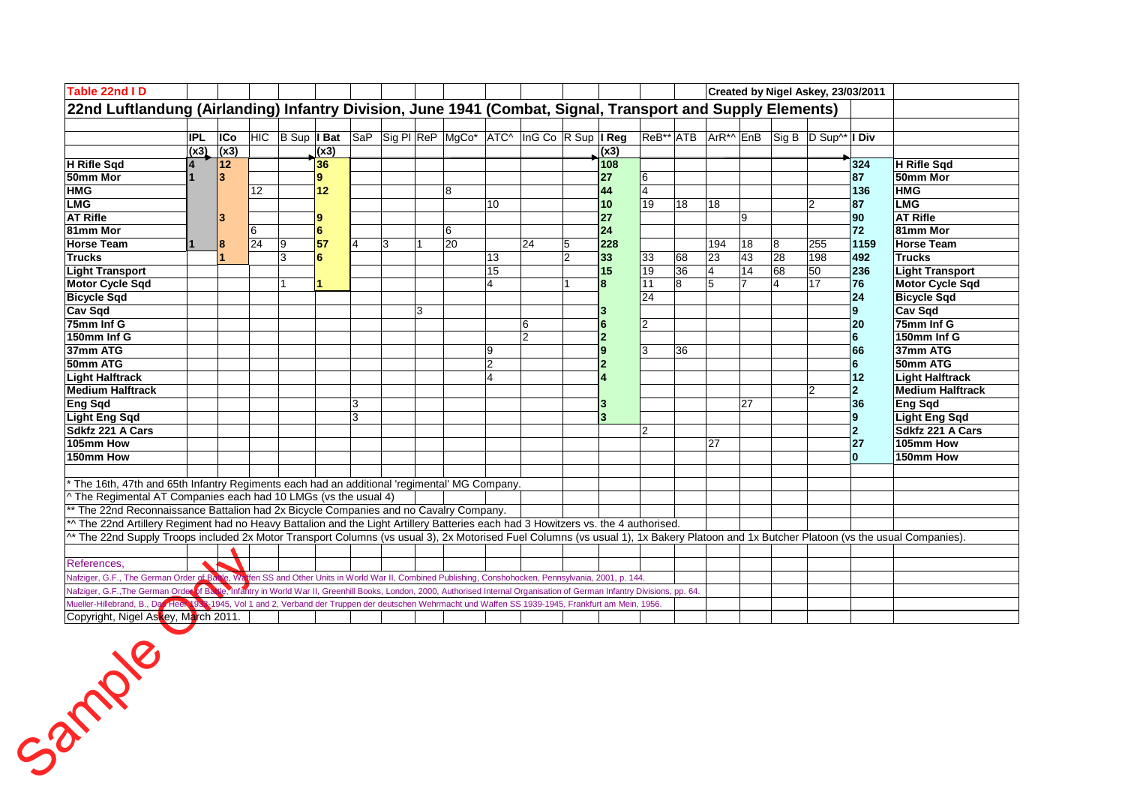| Table 22nd ID                                                                                                                                                                          |            |            |    |   |                 |                |   |   |                                                              |                |    |                |      |                         |              |                |    |    | Created by Nigel Askey, 23/03/2011                              |                |                         |
|----------------------------------------------------------------------------------------------------------------------------------------------------------------------------------------|------------|------------|----|---|-----------------|----------------|---|---|--------------------------------------------------------------|----------------|----|----------------|------|-------------------------|--------------|----------------|----|----|-----------------------------------------------------------------|----------------|-------------------------|
| 22nd Luftlandung (Airlanding) Infantry Division, June 1941 (Combat, Signal, Transport and Supply Elements)                                                                             |            |            |    |   |                 |                |   |   |                                                              |                |    |                |      |                         |              |                |    |    |                                                                 |                |                         |
|                                                                                                                                                                                        |            |            |    |   |                 |                |   |   |                                                              |                |    |                |      |                         |              |                |    |    |                                                                 |                |                         |
|                                                                                                                                                                                        | <b>IPL</b> | <b>ICo</b> |    |   |                 |                |   |   | HIC B Sup I Bat SaP Sig PI ReP MgCo* ATC^ InG Co R Sup I Reg |                |    |                |      |                         |              |                |    |    | ReB <sup>**</sup> ATB ArR <sup>*^</sup> EnB Sig B D Sup^* I Div |                |                         |
|                                                                                                                                                                                        | (x3)       | (x3)       |    |   | (x3)            |                |   |   |                                                              |                |    |                | (x3) |                         |              |                |    |    |                                                                 |                |                         |
| <b>H</b> Rifle Sqd                                                                                                                                                                     |            | 12         |    |   | 36              |                |   |   |                                                              |                |    |                | 108  |                         |              |                |    |    |                                                                 | 324            | H Rifle Sqd             |
| 50mm Mor                                                                                                                                                                               |            | 3          |    |   | 9               |                |   |   |                                                              |                |    |                | 27   | 16                      |              |                |    |    |                                                                 | 87             | 50mm Mor                |
| <b>HMG</b>                                                                                                                                                                             |            |            | 12 |   | 12              |                |   |   | 8                                                            |                |    |                | 44   | $\overline{\mathbf{4}}$ |              |                |    |    |                                                                 | 136            | <b>HMG</b>              |
| <b>LMG</b>                                                                                                                                                                             |            |            |    |   |                 |                |   |   |                                                              | 10             |    |                | 10   | $\overline{19}$         | 18           | 18             |    |    | $\overline{2}$                                                  | 87             | <b>LMG</b>              |
| <b>AT Rifle</b>                                                                                                                                                                        |            | 3          |    |   | 9               |                |   |   |                                                              |                |    |                | 27   |                         |              |                | 9  |    |                                                                 | 90             | <b>AT Rifle</b>         |
| 81mm Mor                                                                                                                                                                               |            |            | 6  |   | $6\phantom{1}6$ |                |   |   | 6                                                            |                |    |                | 24   |                         |              |                |    |    |                                                                 | 72             | 81mm Mor                |
| <b>Horse Team</b>                                                                                                                                                                      |            | 8          | 24 | 9 | 57              | $\overline{4}$ | 3 |   | 20                                                           |                | 24 | 5              | 228  |                         |              | 194            | 18 | 8  | 255                                                             | 1159           | <b>Horse Team</b>       |
| <b>Trucks</b>                                                                                                                                                                          |            |            |    | 3 | 6               |                |   |   |                                                              | 13             |    | $\overline{2}$ | 33   | 33                      | 68           | 23             | 43 | 28 | 198                                                             | 492            | <b>Trucks</b>           |
| <b>Light Transport</b>                                                                                                                                                                 |            |            |    |   |                 |                |   |   |                                                              | 15             |    |                | 15   | 19                      | 36           | 4              | 14 | 68 | 50                                                              | 236            | <b>Light Transport</b>  |
| <b>Motor Cycle Sad</b>                                                                                                                                                                 |            |            |    |   | 1               |                |   |   |                                                              | $\overline{4}$ |    |                | 8    | 11                      | $\mathbf{g}$ | $\overline{5}$ |    | 4  | 17                                                              | 76             | <b>Motor Cycle Sqd</b>  |
| <b>Bicycle Sqd</b>                                                                                                                                                                     |            |            |    |   |                 |                |   |   |                                                              |                |    |                |      | 24                      |              |                |    |    |                                                                 | 24             | <b>Bicycle Sqd</b>      |
| Cav Sqd                                                                                                                                                                                |            |            |    |   |                 |                |   | 3 |                                                              |                |    |                |      |                         |              |                |    |    |                                                                 | 9              | <b>Cav Sqd</b>          |
| 75mm Inf G                                                                                                                                                                             |            |            |    |   |                 |                |   |   |                                                              |                | 6  |                | 6    | $\overline{2}$          |              |                |    |    |                                                                 | 20             | 75mm Inf G              |
| 150mm Inf G                                                                                                                                                                            |            |            |    |   |                 |                |   |   |                                                              |                | 12 |                |      |                         |              |                |    |    |                                                                 | 6              | 150mm Inf G             |
| 37mm ATG                                                                                                                                                                               |            |            |    |   |                 |                |   |   |                                                              | 9              |    |                |      | 3                       | 36           |                |    |    |                                                                 | 66             | 37mm ATG                |
| 50mm ATG                                                                                                                                                                               |            |            |    |   |                 |                |   |   |                                                              | $\overline{2}$ |    |                |      |                         |              |                |    |    |                                                                 | 6              | 50mm ATG                |
| <b>Light Halftrack</b>                                                                                                                                                                 |            |            |    |   |                 |                |   |   |                                                              | $\overline{A}$ |    |                |      |                         |              |                |    |    |                                                                 | 12             | <b>Light Halftrack</b>  |
| <b>Medium Halftrack</b>                                                                                                                                                                |            |            |    |   |                 |                |   |   |                                                              |                |    |                |      |                         |              |                |    |    | $\overline{2}$                                                  | $\overline{2}$ | <b>Medium Halftrack</b> |
| <b>Eng Sqd</b>                                                                                                                                                                         |            |            |    |   |                 | 3              |   |   |                                                              |                |    |                |      |                         |              |                | 27 |    |                                                                 | 36             | Eng Sqd                 |
| <b>Light Eng Sqd</b>                                                                                                                                                                   |            |            |    |   |                 | $\mathbf{3}$   |   |   |                                                              |                |    |                |      |                         |              |                |    |    |                                                                 | 9              | <b>Light Eng Sqd</b>    |
| Sdkfz 221 A Cars                                                                                                                                                                       |            |            |    |   |                 |                |   |   |                                                              |                |    |                |      | 2                       |              |                |    |    |                                                                 | $\overline{2}$ | Sdkfz 221 A Cars        |
| 105mm How                                                                                                                                                                              |            |            |    |   |                 |                |   |   |                                                              |                |    |                |      |                         |              | 27             |    |    |                                                                 | 27             | 105mm How               |
| 150mm How                                                                                                                                                                              |            |            |    |   |                 |                |   |   |                                                              |                |    |                |      |                         |              |                |    |    |                                                                 | $\mathbf{0}$   | 150mm How               |
|                                                                                                                                                                                        |            |            |    |   |                 |                |   |   |                                                              |                |    |                |      |                         |              |                |    |    |                                                                 |                |                         |
| The 16th, 47th and 65th Infantry Regiments each had an additional 'regimental' MG Company.                                                                                             |            |            |    |   |                 |                |   |   |                                                              |                |    |                |      |                         |              |                |    |    |                                                                 |                |                         |
| ^ The Regimental AT Companies each had 10 LMGs (vs the usual 4)                                                                                                                        |            |            |    |   |                 |                |   |   |                                                              |                |    |                |      |                         |              |                |    |    |                                                                 |                |                         |
| ** The 22nd Reconnaissance Battalion had 2x Bicycle Companies and no Cavalry Company.                                                                                                  |            |            |    |   |                 |                |   |   |                                                              |                |    |                |      |                         |              |                |    |    |                                                                 |                |                         |
| *^ The 22nd Artillery Regiment had no Heavy Battalion and the Light Artillery Batteries each had 3 Howitzers vs. the 4 authorised.                                                     |            |            |    |   |                 |                |   |   |                                                              |                |    |                |      |                         |              |                |    |    |                                                                 |                |                         |
| ^* The 22nd Supply Troops included 2x Motor Transport Columns (vs usual 3), 2x Motorised Fuel Columns (vs usual 1), 1x Bakery Platoon and 1x Butcher Platoon (vs the usual Companies). |            |            |    |   |                 |                |   |   |                                                              |                |    |                |      |                         |              |                |    |    |                                                                 |                |                         |
|                                                                                                                                                                                        |            |            |    |   |                 |                |   |   |                                                              |                |    |                |      |                         |              |                |    |    |                                                                 |                |                         |
| References.                                                                                                                                                                            |            |            |    |   |                 |                |   |   |                                                              |                |    |                |      |                         |              |                |    |    |                                                                 |                |                         |
| Nafziger, G.F., The German Order of Balle, Walfen SS and Other Units in World War II, Combined Publishing, Conshohocken, Pennsylvania, 2001, p. 144.                                   |            |            |    |   |                 |                |   |   |                                                              |                |    |                |      |                         |              |                |    |    |                                                                 |                |                         |
| Nafziger, G.F., The German Order of Ba. Ve, Infantry in World War II, Greenhill Books, London, 2000, Authorised Internal Organisation of German Infantry Divisions, pp. 64.            |            |            |    |   |                 |                |   |   |                                                              |                |    |                |      |                         |              |                |    |    |                                                                 |                |                         |
| Mueller-Hillebrand, B., Da Gleen 1988-1945, Vol 1 and 2, Verband der Truppen der deutschen Wehrmacht und Waffen SS 1939-1945, Frankfurt am Mein, 1956.                                 |            |            |    |   |                 |                |   |   |                                                              |                |    |                |      |                         |              |                |    |    |                                                                 |                |                         |
| Copyright, Nigel Askey, March 2011.                                                                                                                                                    |            |            |    |   |                 |                |   |   |                                                              |                |    |                |      |                         |              |                |    |    |                                                                 |                |                         |